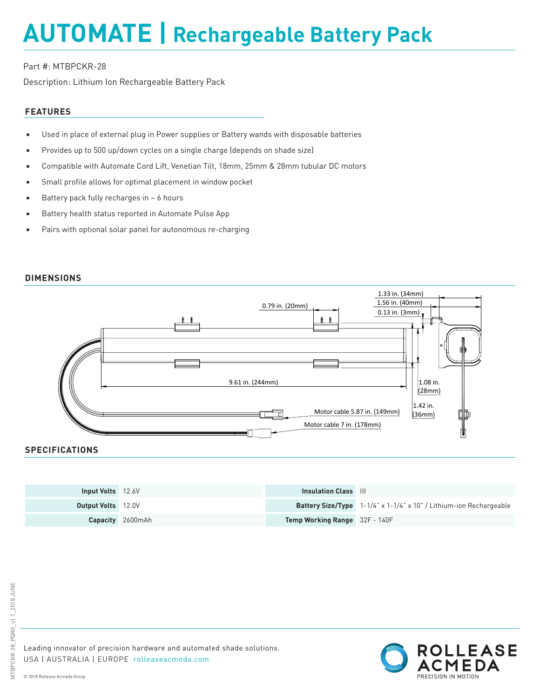## **AUTOMATE | Rechargeable Battery Pack**

## Part #: MTBPCKR-28

Description: Lithium Ion Rechargeable Battery Pack

## **FEATURES**

- Used in place of external plug in Power supplies or Battery wands with disposable batteries
- Provides up to 500 up/down cycles on a single charge (depends on shade size)
- Compatible with Automate Cord Lift, Venetian Tilt, 18mm, 25mm & 28mm tubular DC motors
- Small profile allows for optimal placement in window pocket
- Battery pack fully recharges in  $\sim$  6 hours
- Battery health status reported in Automate Pulse App
- Pairs with optional solar panel for autonomous re-charging



## **SPECIFICATIONS**

| <b>Input Volts</b> 12.6V  |                         | <b>Insulation Class</b> III          |                                                                           |
|---------------------------|-------------------------|--------------------------------------|---------------------------------------------------------------------------|
| <b>Output Volts</b> 12.0V |                         |                                      | <b>Battery Size/Type</b> 1-1/4" x 1-1/4" x 10" / Lithium-ion Rechargeable |
|                           | <b>Capacity</b> 2600mAh | <b>Temp Working Range</b> 32F - 140F |                                                                           |

Leading innovator of precision hardware and automated shade solutions. USA | AUSTRALIA | EUROPE rolleaseacmeda.com